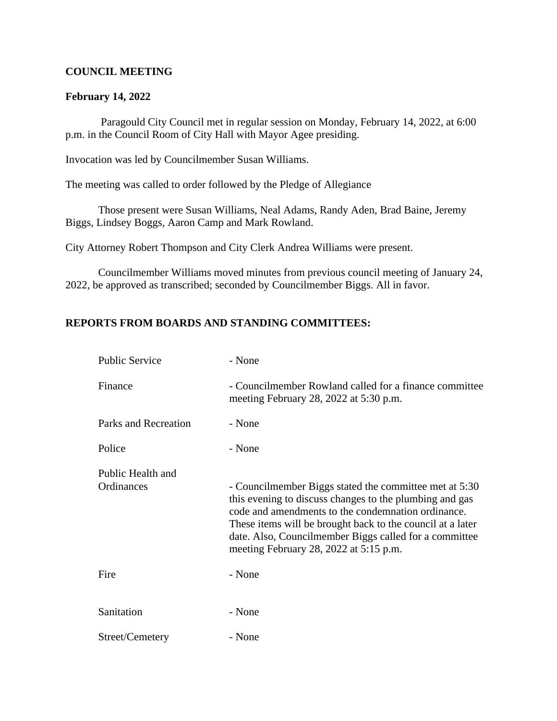### **COUNCIL MEETING**

#### **February 14, 2022**

 Paragould City Council met in regular session on Monday, February 14, 2022, at 6:00 p.m. in the Council Room of City Hall with Mayor Agee presiding.

Invocation was led by Councilmember Susan Williams.

The meeting was called to order followed by the Pledge of Allegiance

Those present were Susan Williams, Neal Adams, Randy Aden, Brad Baine, Jeremy Biggs, Lindsey Boggs, Aaron Camp and Mark Rowland.

City Attorney Robert Thompson and City Clerk Andrea Williams were present.

Councilmember Williams moved minutes from previous council meeting of January 24, 2022, be approved as transcribed; seconded by Councilmember Biggs. All in favor.

### **REPORTS FROM BOARDS AND STANDING COMMITTEES:**

| <b>Public Service</b>           | - None                                                                                                                                                                                                                                                                                                                                      |
|---------------------------------|---------------------------------------------------------------------------------------------------------------------------------------------------------------------------------------------------------------------------------------------------------------------------------------------------------------------------------------------|
| Finance                         | - Councilmember Rowland called for a finance committee<br>meeting February 28, 2022 at 5:30 p.m.                                                                                                                                                                                                                                            |
| Parks and Recreation            | - None                                                                                                                                                                                                                                                                                                                                      |
| Police                          | - None                                                                                                                                                                                                                                                                                                                                      |
| Public Health and<br>Ordinances | - Councilmember Biggs stated the committee met at 5:30<br>this evening to discuss changes to the plumbing and gas<br>code and amendments to the condemnation ordinance.<br>These items will be brought back to the council at a later<br>date. Also, Councilmember Biggs called for a committee<br>meeting February 28, 2022 at $5:15$ p.m. |
| Fire                            | - None                                                                                                                                                                                                                                                                                                                                      |
| Sanitation                      | - None                                                                                                                                                                                                                                                                                                                                      |
| Street/Cemetery                 | - None                                                                                                                                                                                                                                                                                                                                      |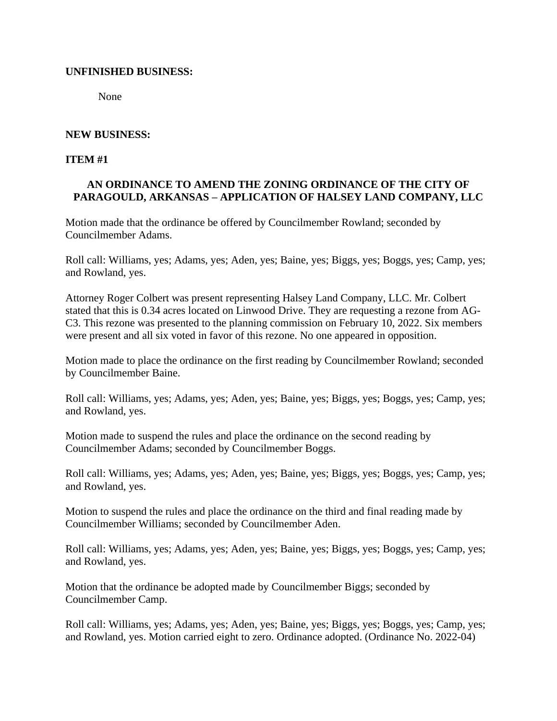## **UNFINISHED BUSINESS:**

None

## **NEW BUSINESS:**

**ITEM #1**

## **AN ORDINANCE TO AMEND THE ZONING ORDINANCE OF THE CITY OF PARAGOULD, ARKANSAS – APPLICATION OF HALSEY LAND COMPANY, LLC**

Motion made that the ordinance be offered by Councilmember Rowland; seconded by Councilmember Adams.

Roll call: Williams, yes; Adams, yes; Aden, yes; Baine, yes; Biggs, yes; Boggs, yes; Camp, yes; and Rowland, yes.

Attorney Roger Colbert was present representing Halsey Land Company, LLC. Mr. Colbert stated that this is 0.34 acres located on Linwood Drive. They are requesting a rezone from AG-C3. This rezone was presented to the planning commission on February 10, 2022. Six members were present and all six voted in favor of this rezone. No one appeared in opposition.

Motion made to place the ordinance on the first reading by Councilmember Rowland; seconded by Councilmember Baine.

Roll call: Williams, yes; Adams, yes; Aden, yes; Baine, yes; Biggs, yes; Boggs, yes; Camp, yes; and Rowland, yes.

Motion made to suspend the rules and place the ordinance on the second reading by Councilmember Adams; seconded by Councilmember Boggs.

Roll call: Williams, yes; Adams, yes; Aden, yes; Baine, yes; Biggs, yes; Boggs, yes; Camp, yes; and Rowland, yes.

Motion to suspend the rules and place the ordinance on the third and final reading made by Councilmember Williams; seconded by Councilmember Aden.

Roll call: Williams, yes; Adams, yes; Aden, yes; Baine, yes; Biggs, yes; Boggs, yes; Camp, yes; and Rowland, yes.

Motion that the ordinance be adopted made by Councilmember Biggs; seconded by Councilmember Camp.

Roll call: Williams, yes; Adams, yes; Aden, yes; Baine, yes; Biggs, yes; Boggs, yes; Camp, yes; and Rowland, yes. Motion carried eight to zero. Ordinance adopted. (Ordinance No. 2022-04)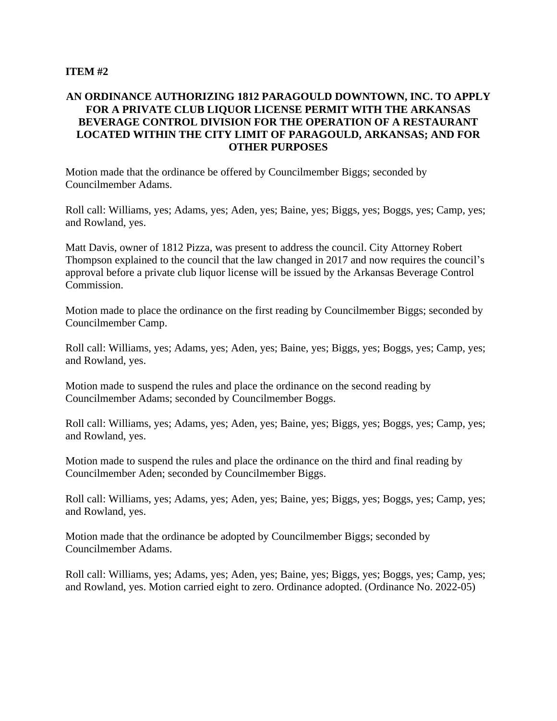#### **ITEM #2**

## **AN ORDINANCE AUTHORIZING 1812 PARAGOULD DOWNTOWN, INC. TO APPLY FOR A PRIVATE CLUB LIQUOR LICENSE PERMIT WITH THE ARKANSAS BEVERAGE CONTROL DIVISION FOR THE OPERATION OF A RESTAURANT LOCATED WITHIN THE CITY LIMIT OF PARAGOULD, ARKANSAS; AND FOR OTHER PURPOSES**

Motion made that the ordinance be offered by Councilmember Biggs; seconded by Councilmember Adams.

Roll call: Williams, yes; Adams, yes; Aden, yes; Baine, yes; Biggs, yes; Boggs, yes; Camp, yes; and Rowland, yes.

Matt Davis, owner of 1812 Pizza, was present to address the council. City Attorney Robert Thompson explained to the council that the law changed in 2017 and now requires the council's approval before a private club liquor license will be issued by the Arkansas Beverage Control Commission.

Motion made to place the ordinance on the first reading by Councilmember Biggs; seconded by Councilmember Camp.

Roll call: Williams, yes; Adams, yes; Aden, yes; Baine, yes; Biggs, yes; Boggs, yes; Camp, yes; and Rowland, yes.

Motion made to suspend the rules and place the ordinance on the second reading by Councilmember Adams; seconded by Councilmember Boggs.

Roll call: Williams, yes; Adams, yes; Aden, yes; Baine, yes; Biggs, yes; Boggs, yes; Camp, yes; and Rowland, yes.

Motion made to suspend the rules and place the ordinance on the third and final reading by Councilmember Aden; seconded by Councilmember Biggs.

Roll call: Williams, yes; Adams, yes; Aden, yes; Baine, yes; Biggs, yes; Boggs, yes; Camp, yes; and Rowland, yes.

Motion made that the ordinance be adopted by Councilmember Biggs; seconded by Councilmember Adams.

Roll call: Williams, yes; Adams, yes; Aden, yes; Baine, yes; Biggs, yes; Boggs, yes; Camp, yes; and Rowland, yes. Motion carried eight to zero. Ordinance adopted. (Ordinance No. 2022-05)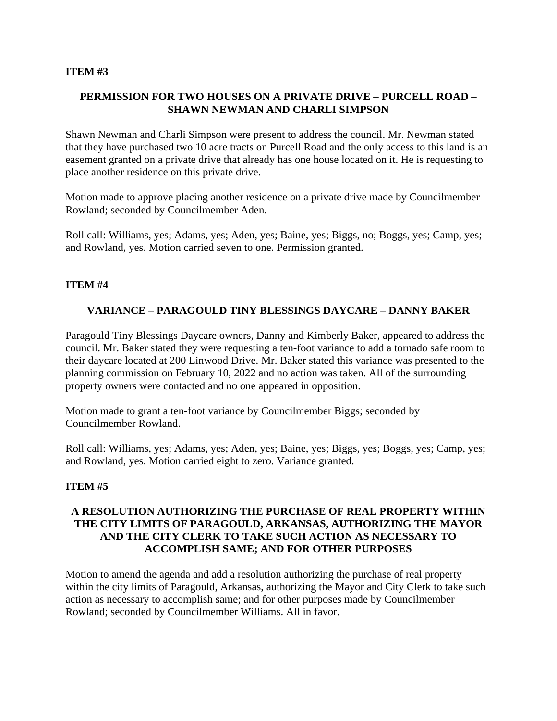#### **ITEM #3**

## **PERMISSION FOR TWO HOUSES ON A PRIVATE DRIVE – PURCELL ROAD – SHAWN NEWMAN AND CHARLI SIMPSON**

Shawn Newman and Charli Simpson were present to address the council. Mr. Newman stated that they have purchased two 10 acre tracts on Purcell Road and the only access to this land is an easement granted on a private drive that already has one house located on it. He is requesting to place another residence on this private drive.

Motion made to approve placing another residence on a private drive made by Councilmember Rowland; seconded by Councilmember Aden.

Roll call: Williams, yes; Adams, yes; Aden, yes; Baine, yes; Biggs, no; Boggs, yes; Camp, yes; and Rowland, yes. Motion carried seven to one. Permission granted.

### **ITEM #4**

## **VARIANCE – PARAGOULD TINY BLESSINGS DAYCARE – DANNY BAKER**

Paragould Tiny Blessings Daycare owners, Danny and Kimberly Baker, appeared to address the council. Mr. Baker stated they were requesting a ten-foot variance to add a tornado safe room to their daycare located at 200 Linwood Drive. Mr. Baker stated this variance was presented to the planning commission on February 10, 2022 and no action was taken. All of the surrounding property owners were contacted and no one appeared in opposition.

Motion made to grant a ten-foot variance by Councilmember Biggs; seconded by Councilmember Rowland.

Roll call: Williams, yes; Adams, yes; Aden, yes; Baine, yes; Biggs, yes; Boggs, yes; Camp, yes; and Rowland, yes. Motion carried eight to zero. Variance granted.

### **ITEM #5**

## **A RESOLUTION AUTHORIZING THE PURCHASE OF REAL PROPERTY WITHIN THE CITY LIMITS OF PARAGOULD, ARKANSAS, AUTHORIZING THE MAYOR AND THE CITY CLERK TO TAKE SUCH ACTION AS NECESSARY TO ACCOMPLISH SAME; AND FOR OTHER PURPOSES**

Motion to amend the agenda and add a resolution authorizing the purchase of real property within the city limits of Paragould, Arkansas, authorizing the Mayor and City Clerk to take such action as necessary to accomplish same; and for other purposes made by Councilmember Rowland; seconded by Councilmember Williams. All in favor.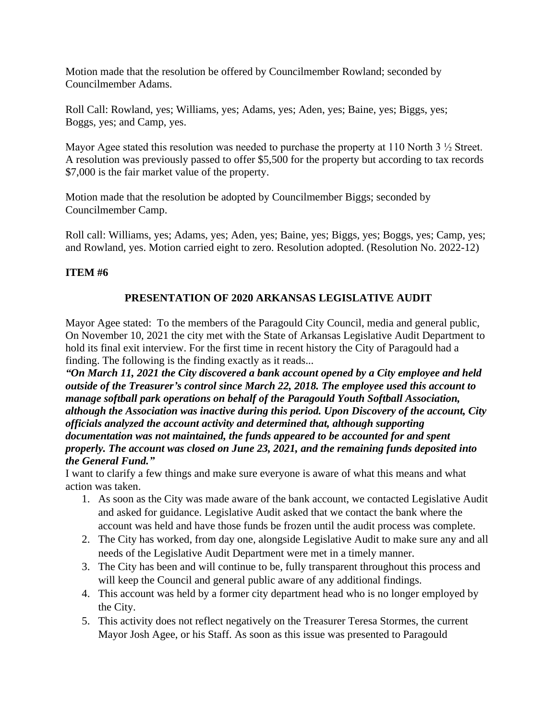Motion made that the resolution be offered by Councilmember Rowland; seconded by Councilmember Adams.

Roll Call: Rowland, yes; Williams, yes; Adams, yes; Aden, yes; Baine, yes; Biggs, yes; Boggs, yes; and Camp, yes.

Mayor Agee stated this resolution was needed to purchase the property at 110 North 3  $\frac{1}{2}$  Street. A resolution was previously passed to offer \$5,500 for the property but according to tax records \$7,000 is the fair market value of the property.

Motion made that the resolution be adopted by Councilmember Biggs; seconded by Councilmember Camp.

Roll call: Williams, yes; Adams, yes; Aden, yes; Baine, yes; Biggs, yes; Boggs, yes; Camp, yes; and Rowland, yes. Motion carried eight to zero. Resolution adopted. (Resolution No. 2022-12)

## **ITEM #6**

# **PRESENTATION OF 2020 ARKANSAS LEGISLATIVE AUDIT**

Mayor Agee stated: To the members of the Paragould City Council, media and general public, On November 10, 2021 the city met with the State of Arkansas Legislative Audit Department to hold its final exit interview. For the first time in recent history the City of Paragould had a finding. The following is the finding exactly as it reads...

*"On March 11, 2021 the City discovered a bank account opened by a City employee and held outside of the Treasurer's control since March 22, 2018. The employee used this account to manage softball park operations on behalf of the Paragould Youth Softball Association, although the Association was inactive during this period. Upon Discovery of the account, City officials analyzed the account activity and determined that, although supporting documentation was not maintained, the funds appeared to be accounted for and spent properly. The account was closed on June 23, 2021, and the remaining funds deposited into the General Fund."*

I want to clarify a few things and make sure everyone is aware of what this means and what action was taken.

- 1. As soon as the City was made aware of the bank account, we contacted Legislative Audit and asked for guidance. Legislative Audit asked that we contact the bank where the account was held and have those funds be frozen until the audit process was complete.
- 2. The City has worked, from day one, alongside Legislative Audit to make sure any and all needs of the Legislative Audit Department were met in a timely manner.
- 3. The City has been and will continue to be, fully transparent throughout this process and will keep the Council and general public aware of any additional findings.
- 4. This account was held by a former city department head who is no longer employed by the City.
- 5. This activity does not reflect negatively on the Treasurer Teresa Stormes, the current Mayor Josh Agee, or his Staff. As soon as this issue was presented to Paragould